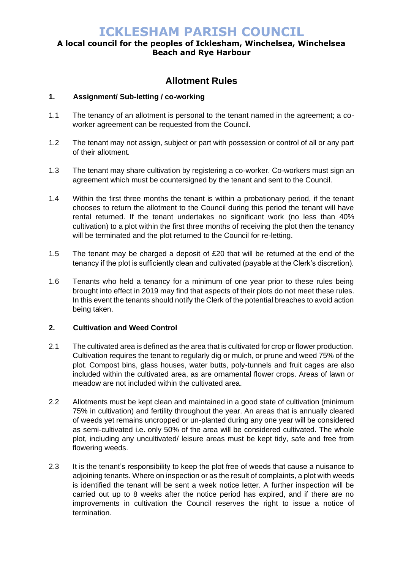## **A local council for the peoples of Icklesham, Winchelsea, Winchelsea Beach and Rye Harbour**

## **Allotment Rules**

### **1. Assignment/ Sub-letting / co-working**

- 1.1 The tenancy of an allotment is personal to the tenant named in the agreement; a coworker agreement can be requested from the Council.
- 1.2 The tenant may not assign, subject or part with possession or control of all or any part of their allotment.
- 1.3 The tenant may share cultivation by registering a co-worker. Co-workers must sign an agreement which must be countersigned by the tenant and sent to the Council.
- 1.4 Within the first three months the tenant is within a probationary period, if the tenant chooses to return the allotment to the Council during this period the tenant will have rental returned. If the tenant undertakes no significant work (no less than 40% cultivation) to a plot within the first three months of receiving the plot then the tenancy will be terminated and the plot returned to the Council for re-letting.
- 1.5 The tenant may be charged a deposit of £20 that will be returned at the end of the tenancy if the plot is sufficiently clean and cultivated (payable at the Clerk's discretion).
- 1.6 Tenants who held a tenancy for a minimum of one year prior to these rules being brought into effect in 2019 may find that aspects of their plots do not meet these rules. In this event the tenants should notify the Clerk of the potential breaches to avoid action being taken.

### **2. Cultivation and Weed Control**

- 2.1 The cultivated area is defined as the area that is cultivated for crop or flower production. Cultivation requires the tenant to regularly dig or mulch, or prune and weed 75% of the plot. Compost bins, glass houses, water butts, poly-tunnels and fruit cages are also included within the cultivated area, as are ornamental flower crops. Areas of lawn or meadow are not included within the cultivated area.
- 2.2 Allotments must be kept clean and maintained in a good state of cultivation (minimum 75% in cultivation) and fertility throughout the year. An areas that is annually cleared of weeds yet remains uncropped or un-planted during any one year will be considered as semi-cultivated i.e. only 50% of the area will be considered cultivated. The whole plot, including any uncultivated/ leisure areas must be kept tidy, safe and free from flowering weeds.
- 2.3 It is the tenant's responsibility to keep the plot free of weeds that cause a nuisance to adjoining tenants. Where on inspection or as the result of complaints, a plot with weeds is identified the tenant will be sent a week notice letter. A further inspection will be carried out up to 8 weeks after the notice period has expired, and if there are no improvements in cultivation the Council reserves the right to issue a notice of termination.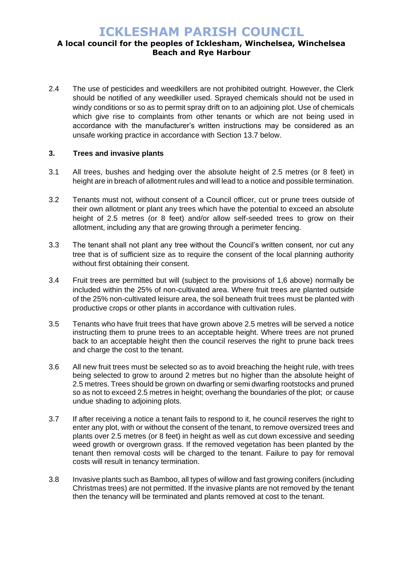## **A local council for the peoples of Icklesham, Winchelsea, Winchelsea Beach and Rye Harbour**

2.4 The use of pesticides and weedkillers are not prohibited outright. However, the Clerk should be notified of any weedkiller used. Sprayed chemicals should not be used in windy conditions or so as to permit spray drift on to an adjoining plot. Use of chemicals which give rise to complaints from other tenants or which are not being used in accordance with the manufacturer's written instructions may be considered as an unsafe working practice in accordance with Section 13.7 below.

### **3. Trees and invasive plants**

- 3.1 All trees, bushes and hedging over the absolute height of 2.5 metres (or 8 feet) in height are in breach of allotment rules and will lead to a notice and possible termination.
- 3.2 Tenants must not, without consent of a Council officer, cut or prune trees outside of their own allotment or plant any trees which have the potential to exceed an absolute height of 2.5 metres (or 8 feet) and/or allow self-seeded trees to grow on their allotment, including any that are growing through a perimeter fencing.
- 3.3 The tenant shall not plant any tree without the Council's written consent, nor cut any tree that is of sufficient size as to require the consent of the local planning authority without first obtaining their consent.
- 3.4 Fruit trees are permitted but will (subject to the provisions of 1,6 above) normally be included within the 25% of non-cultivated area. Where fruit trees are planted outside of the 25% non-cultivated leisure area, the soil beneath fruit trees must be planted with productive crops or other plants in accordance with cultivation rules.
- 3.5 Tenants who have fruit trees that have grown above 2.5 metres will be served a notice instructing them to prune trees to an acceptable height. Where trees are not pruned back to an acceptable height then the council reserves the right to prune back trees and charge the cost to the tenant.
- 3.6 All new fruit trees must be selected so as to avoid breaching the height rule, with trees being selected to grow to around 2 metres but no higher than the absolute height of 2.5 metres. Trees should be grown on dwarfing or semi dwarfing rootstocks and pruned so as not to exceed 2.5 metres in height; overhang the boundaries of the plot; or cause undue shading to adjoining plots.
- 3.7 If after receiving a notice a tenant fails to respond to it, he council reserves the right to enter any plot, with or without the consent of the tenant, to remove oversized trees and plants over 2.5 metres (or 8 feet) in height as well as cut down excessive and seeding weed growth or overgrown grass. If the removed vegetation has been planted by the tenant then removal costs will be charged to the tenant. Failure to pay for removal costs will result in tenancy termination.
- 3.8 Invasive plants such as Bamboo, all types of willow and fast growing conifers (including Christmas trees) are not permitted. If the invasive plants are not removed by the tenant then the tenancy will be terminated and plants removed at cost to the tenant.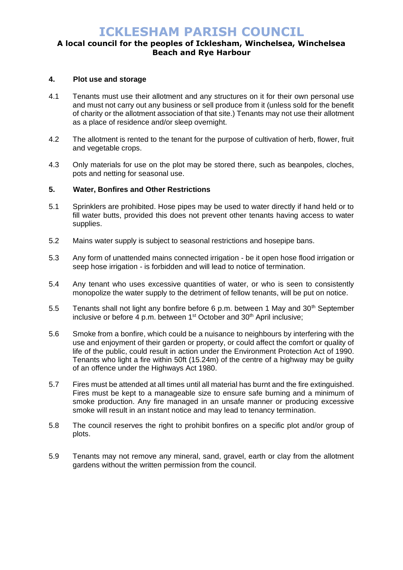## **A local council for the peoples of Icklesham, Winchelsea, Winchelsea Beach and Rye Harbour**

### **4. Plot use and storage**

- 4.1 Tenants must use their allotment and any structures on it for their own personal use and must not carry out any business or sell produce from it (unless sold for the benefit of charity or the allotment association of that site.) Tenants may not use their allotment as a place of residence and/or sleep overnight.
- 4.2 The allotment is rented to the tenant for the purpose of cultivation of herb, flower, fruit and vegetable crops.
- 4.3 Only materials for use on the plot may be stored there, such as beanpoles, cloches, pots and netting for seasonal use.

### **5. Water, Bonfires and Other Restrictions**

- 5.1 Sprinklers are prohibited. Hose pipes may be used to water directly if hand held or to fill water butts, provided this does not prevent other tenants having access to water supplies.
- 5.2 Mains water supply is subject to seasonal restrictions and hosepipe bans.
- 5.3 Any form of unattended mains connected irrigation be it open hose flood irrigation or seep hose irrigation - is forbidden and will lead to notice of termination.
- 5.4 Any tenant who uses excessive quantities of water, or who is seen to consistently monopolize the water supply to the detriment of fellow tenants, will be put on notice.
- 5.5 Tenants shall not light any bonfire before 6 p.m. between 1 May and  $30<sup>th</sup>$  September inclusive or before  $\overline{4}$  p.m. between 1<sup>st</sup> October and  $30<sup>th</sup>$  April inclusive;
- 5.6 Smoke from a bonfire, which could be a nuisance to neighbours by interfering with the use and enjoyment of their garden or property, or could affect the comfort or quality of life of the public, could result in action under the Environment Protection Act of 1990. Tenants who light a fire within 50ft (15.24m) of the centre of a highway may be guilty of an offence under the Highways Act 1980.
- 5.7 Fires must be attended at all times until all material has burnt and the fire extinguished. Fires must be kept to a manageable size to ensure safe burning and a minimum of smoke production. Any fire managed in an unsafe manner or producing excessive smoke will result in an instant notice and may lead to tenancy termination.
- 5.8 The council reserves the right to prohibit bonfires on a specific plot and/or group of plots.
- 5.9 Tenants may not remove any mineral, sand, gravel, earth or clay from the allotment gardens without the written permission from the council.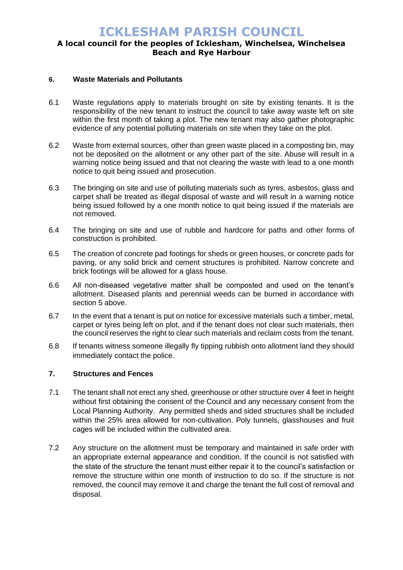## **A local council for the peoples of Icklesham, Winchelsea, Winchelsea Beach and Rye Harbour**

### **6. Waste Materials and Pollutants**

- 6.1 Waste regulations apply to materials brought on site by existing tenants. It is the responsibility of the new tenant to instruct the council to take away waste left on site within the first month of taking a plot. The new tenant may also gather photographic evidence of any potential polluting materials on site when they take on the plot.
- 6.2 Waste from external sources, other than green waste placed in a composting bin, may not be deposited on the allotment or any other part of the site. Abuse will result in a warning notice being issued and that not clearing the waste with lead to a one month notice to quit being issued and prosecution.
- 6.3 The bringing on site and use of polluting materials such as tyres, asbestos, glass and carpet shall be treated as illegal disposal of waste and will result in a warning notice being issued followed by a one month notice to quit being issued if the materials are not removed.
- 6.4 The bringing on site and use of rubble and hardcore for paths and other forms of construction is prohibited.
- 6.5 The creation of concrete pad footings for sheds or green houses, or concrete pads for paving, or any solid brick and cement structures is prohibited. Narrow concrete and brick footings will be allowed for a glass house.
- 6.6 All non-diseased vegetative matter shall be composted and used on the tenant's allotment. Diseased plants and perennial weeds can be burned in accordance with section 5 above.
- 6.7 In the event that a tenant is put on notice for excessive materials such a timber, metal, carpet or tyres being left on plot, and if the tenant does not clear such materials, then the council reserves the right to clear such materials and reclaim costs from the tenant.
- 6.8 If tenants witness someone illegally fly tipping rubbish onto allotment land they should immediately contact the police.

### **7. Structures and Fences**

- 7.1 The tenant shall not erect any shed, greenhouse or other structure over 4 feet in height without first obtaining the consent of the Council and any necessary consent from the Local Planning Authority. Any permitted sheds and sided structures shall be included within the 25% area allowed for non-cultivation. Poly tunnels, glasshouses and fruit cages will be included within the cultivated area.
- 7.2 Any structure on the allotment must be temporary and maintained in safe order with an appropriate external appearance and condition. If the council is not satisfied with the state of the structure the tenant must either repair it to the council's satisfaction or remove the structure within one month of instruction to do so. If the structure is not removed, the council may remove it and charge the tenant the full cost of removal and disposal.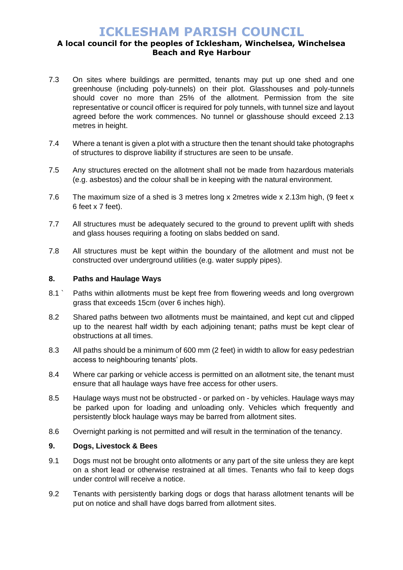## **A local council for the peoples of Icklesham, Winchelsea, Winchelsea Beach and Rye Harbour**

- 7.3 On sites where buildings are permitted, tenants may put up one shed and one greenhouse (including poly-tunnels) on their plot. Glasshouses and poly-tunnels should cover no more than 25% of the allotment. Permission from the site representative or council officer is required for poly tunnels, with tunnel size and layout agreed before the work commences. No tunnel or glasshouse should exceed 2.13 metres in height.
- 7.4 Where a tenant is given a plot with a structure then the tenant should take photographs of structures to disprove liability if structures are seen to be unsafe.
- 7.5 Any structures erected on the allotment shall not be made from hazardous materials (e.g. asbestos) and the colour shall be in keeping with the natural environment.
- 7.6 The maximum size of a shed is 3 metres long x 2metres wide x 2.13m high, (9 feet x 6 feet x 7 feet).
- 7.7 All structures must be adequately secured to the ground to prevent uplift with sheds and glass houses requiring a footing on slabs bedded on sand.
- 7.8 All structures must be kept within the boundary of the allotment and must not be constructed over underground utilities (e.g. water supply pipes).

### **8. Paths and Haulage Ways**

- 8.1 ` Paths within allotments must be kept free from flowering weeds and long overgrown grass that exceeds 15cm (over 6 inches high).
- 8.2 Shared paths between two allotments must be maintained, and kept cut and clipped up to the nearest half width by each adjoining tenant; paths must be kept clear of obstructions at all times.
- 8.3 All paths should be a minimum of 600 mm (2 feet) in width to allow for easy pedestrian access to neighbouring tenants' plots.
- 8.4 Where car parking or vehicle access is permitted on an allotment site, the tenant must ensure that all haulage ways have free access for other users.
- 8.5 Haulage ways must not be obstructed or parked on by vehicles. Haulage ways may be parked upon for loading and unloading only. Vehicles which frequently and persistently block haulage ways may be barred from allotment sites.
- 8.6 Overnight parking is not permitted and will result in the termination of the tenancy.

### **9. Dogs, Livestock & Bees**

- 9.1 Dogs must not be brought onto allotments or any part of the site unless they are kept on a short lead or otherwise restrained at all times. Tenants who fail to keep dogs under control will receive a notice.
- 9.2 Tenants with persistently barking dogs or dogs that harass allotment tenants will be put on notice and shall have dogs barred from allotment sites.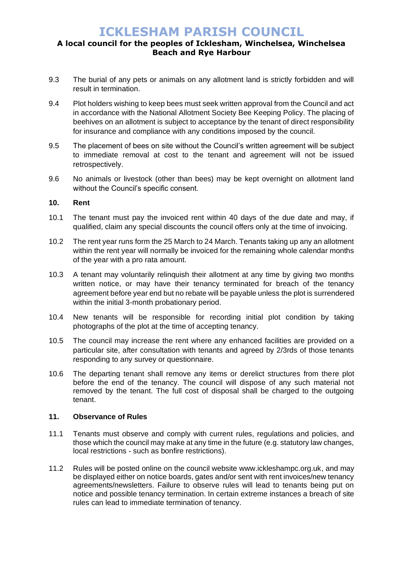## **A local council for the peoples of Icklesham, Winchelsea, Winchelsea Beach and Rye Harbour**

- 9.3 The burial of any pets or animals on any allotment land is strictly forbidden and will result in termination.
- 9.4 Plot holders wishing to keep bees must seek written approval from the Council and act in accordance with the National Allotment Society Bee Keeping Policy. The placing of beehives on an allotment is subject to acceptance by the tenant of direct responsibility for insurance and compliance with any conditions imposed by the council.
- 9.5 The placement of bees on site without the Council's written agreement will be subject to immediate removal at cost to the tenant and agreement will not be issued retrospectively.
- 9.6 No animals or livestock (other than bees) may be kept overnight on allotment land without the Council's specific consent.

#### **10. Rent**

- 10.1 The tenant must pay the invoiced rent within 40 days of the due date and may, if qualified, claim any special discounts the council offers only at the time of invoicing.
- 10.2 The rent year runs form the 25 March to 24 March. Tenants taking up any an allotment within the rent year will normally be invoiced for the remaining whole calendar months of the year with a pro rata amount.
- 10.3 A tenant may voluntarily relinquish their allotment at any time by giving two months written notice, or may have their tenancy terminated for breach of the tenancy agreement before year end but no rebate will be payable unless the plot is surrendered within the initial 3-month probationary period.
- 10.4 New tenants will be responsible for recording initial plot condition by taking photographs of the plot at the time of accepting tenancy.
- 10.5 The council may increase the rent where any enhanced facilities are provided on a particular site, after consultation with tenants and agreed by 2/3rds of those tenants responding to any survey or questionnaire.
- 10.6 The departing tenant shall remove any items or derelict structures from there plot before the end of the tenancy. The council will dispose of any such material not removed by the tenant. The full cost of disposal shall be charged to the outgoing tenant.

#### **11. Observance of Rules**

- 11.1 Tenants must observe and comply with current rules, regulations and policies, and those which the council may make at any time in the future (e.g. statutory law changes, local restrictions - such as bonfire restrictions).
- 11.2 Rules will be posted online on the council website www.ickleshampc.org.uk, and may be displayed either on notice boards, gates and/or sent with rent invoices/new tenancy agreements/newsletters. Failure to observe rules will lead to tenants being put on notice and possible tenancy termination. In certain extreme instances a breach of site rules can lead to immediate termination of tenancy.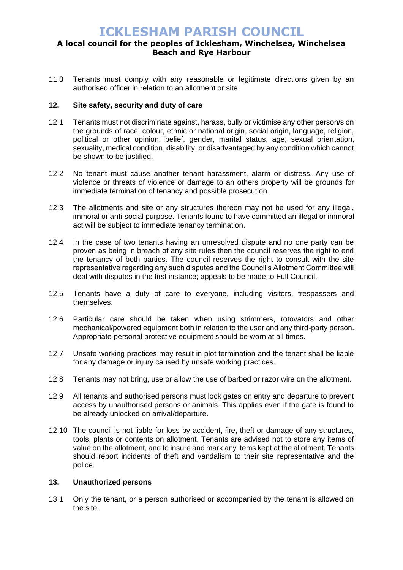## **A local council for the peoples of Icklesham, Winchelsea, Winchelsea Beach and Rye Harbour**

11.3 Tenants must comply with any reasonable or legitimate directions given by an authorised officer in relation to an allotment or site.

### **12. Site safety, security and duty of care**

- 12.1 Tenants must not discriminate against, harass, bully or victimise any other person/s on the grounds of race, colour, ethnic or national origin, social origin, language, religion, political or other opinion, belief, gender, marital status, age, sexual orientation, sexuality, medical condition, disability, or disadvantaged by any condition which cannot be shown to be justified.
- 12.2 No tenant must cause another tenant harassment, alarm or distress. Any use of violence or threats of violence or damage to an others property will be grounds for immediate termination of tenancy and possible prosecution.
- 12.3 The allotments and site or any structures thereon may not be used for any illegal, immoral or anti-social purpose. Tenants found to have committed an illegal or immoral act will be subject to immediate tenancy termination.
- 12.4 In the case of two tenants having an unresolved dispute and no one party can be proven as being in breach of any site rules then the council reserves the right to end the tenancy of both parties. The council reserves the right to consult with the site representative regarding any such disputes and the Council's Allotment Committee will deal with disputes in the first instance; appeals to be made to Full Council.
- 12.5 Tenants have a duty of care to everyone, including visitors, trespassers and themselves.
- 12.6 Particular care should be taken when using strimmers, rotovators and other mechanical/powered equipment both in relation to the user and any third-party person. Appropriate personal protective equipment should be worn at all times.
- 12.7 Unsafe working practices may result in plot termination and the tenant shall be liable for any damage or injury caused by unsafe working practices.
- 12.8 Tenants may not bring, use or allow the use of barbed or razor wire on the allotment.
- 12.9 All tenants and authorised persons must lock gates on entry and departure to prevent access by unauthorised persons or animals. This applies even if the gate is found to be already unlocked on arrival/departure.
- 12.10 The council is not liable for loss by accident, fire, theft or damage of any structures, tools, plants or contents on allotment. Tenants are advised not to store any items of value on the allotment, and to insure and mark any items kept at the allotment. Tenants should report incidents of theft and vandalism to their site representative and the police.

#### **13. Unauthorized persons**

13.1 Only the tenant, or a person authorised or accompanied by the tenant is allowed on the site.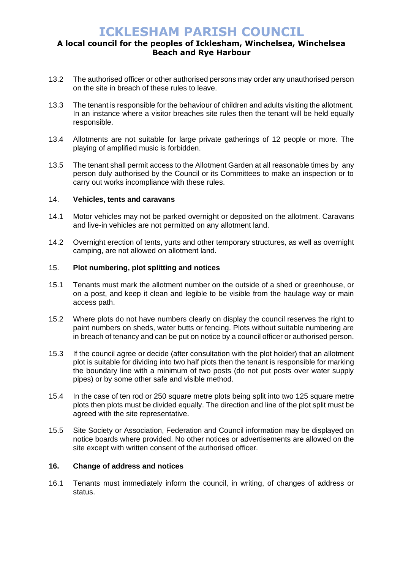## **A local council for the peoples of Icklesham, Winchelsea, Winchelsea Beach and Rye Harbour**

- 13.2 The authorised officer or other authorised persons may order any unauthorised person on the site in breach of these rules to leave.
- 13.3 The tenant is responsible for the behaviour of children and adults visiting the allotment. In an instance where a visitor breaches site rules then the tenant will be held equally responsible.
- 13.4 Allotments are not suitable for large private gatherings of 12 people or more. The playing of amplified music is forbidden.
- 13.5 The tenant shall permit access to the Allotment Garden at all reasonable times by any person duly authorised by the Council or its Committees to make an inspection or to carry out works incompliance with these rules.

#### 14. **Vehicles, tents and caravans**

- 14.1 Motor vehicles may not be parked overnight or deposited on the allotment. Caravans and live-in vehicles are not permitted on any allotment land.
- 14.2 Overnight erection of tents, yurts and other temporary structures, as well as overnight camping, are not allowed on allotment land.

#### 15. **Plot numbering, plot splitting and notices**

- 15.1 Tenants must mark the allotment number on the outside of a shed or greenhouse, or on a post, and keep it clean and legible to be visible from the haulage way or main access path.
- 15.2 Where plots do not have numbers clearly on display the council reserves the right to paint numbers on sheds, water butts or fencing. Plots without suitable numbering are in breach of tenancy and can be put on notice by a council officer or authorised person.
- 15.3 If the council agree or decide (after consultation with the plot holder) that an allotment plot is suitable for dividing into two half plots then the tenant is responsible for marking the boundary line with a minimum of two posts (do not put posts over water supply pipes) or by some other safe and visible method.
- 15.4 In the case of ten rod or 250 square metre plots being split into two 125 square metre plots then plots must be divided equally. The direction and line of the plot split must be agreed with the site representative.
- 15.5 Site Society or Association, Federation and Council information may be displayed on notice boards where provided. No other notices or advertisements are allowed on the site except with written consent of the authorised officer.

### **16. Change of address and notices**

16.1 Tenants must immediately inform the council, in writing, of changes of address or status.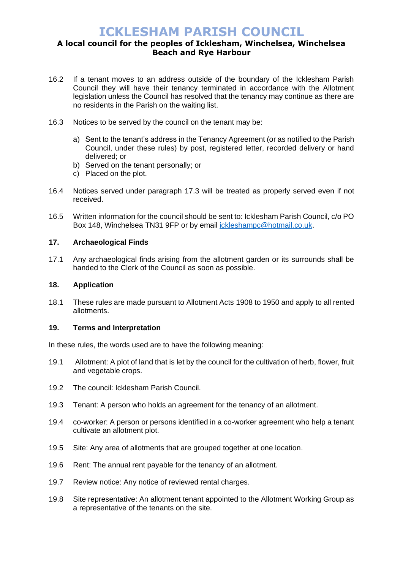## **A local council for the peoples of Icklesham, Winchelsea, Winchelsea Beach and Rye Harbour**

- 16.2 If a tenant moves to an address outside of the boundary of the Icklesham Parish Council they will have their tenancy terminated in accordance with the Allotment legislation unless the Council has resolved that the tenancy may continue as there are no residents in the Parish on the waiting list.
- 16.3 Notices to be served by the council on the tenant may be:
	- a) Sent to the tenant's address in the Tenancy Agreement (or as notified to the Parish Council, under these rules) by post, registered letter, recorded delivery or hand delivered; or
	- b) Served on the tenant personally; or
	- c) Placed on the plot.
- 16.4 Notices served under paragraph 17.3 will be treated as properly served even if not received.
- 16.5 Written information for the council should be sent to: Icklesham Parish Council, c/o PO Box 148, Winchelsea TN31 9FP or by email [ickleshampc@hotmail.co.uk.](mailto:ickleshampc@hotmail.co.uk)

### **17. Archaeological Finds**

17.1 Any archaeological finds arising from the allotment garden or its surrounds shall be handed to the Clerk of the Council as soon as possible.

### **18. Application**

18.1 These rules are made pursuant to Allotment Acts 1908 to 1950 and apply to all rented allotments.

#### **19. Terms and Interpretation**

In these rules, the words used are to have the following meaning:

- 19.1 Allotment: A plot of land that is let by the council for the cultivation of herb, flower, fruit and vegetable crops.
- 19.2 The council: Icklesham Parish Council.
- 19.3 Tenant: A person who holds an agreement for the tenancy of an allotment.
- 19.4 co-worker: A person or persons identified in a co-worker agreement who help a tenant cultivate an allotment plot.
- 19.5 Site: Any area of allotments that are grouped together at one location.
- 19.6 Rent: The annual rent payable for the tenancy of an allotment.
- 19.7 Review notice: Any notice of reviewed rental charges.
- 19.8 Site representative: An allotment tenant appointed to the Allotment Working Group as a representative of the tenants on the site.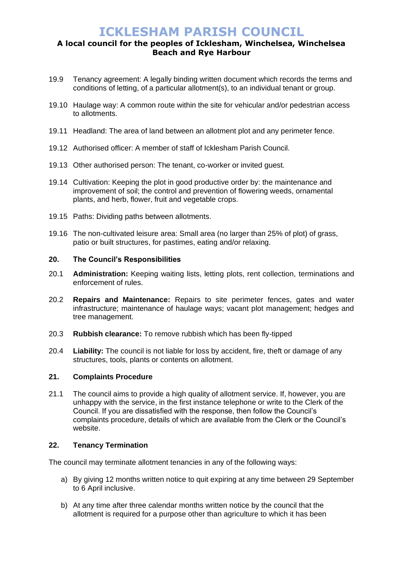## **A local council for the peoples of Icklesham, Winchelsea, Winchelsea Beach and Rye Harbour**

- 19.9 Tenancy agreement: A legally binding written document which records the terms and conditions of letting, of a particular allotment(s), to an individual tenant or group.
- 19.10 Haulage way: A common route within the site for vehicular and/or pedestrian access to allotments.
- 19.11 Headland: The area of land between an allotment plot and any perimeter fence.
- 19.12 Authorised officer: A member of staff of Icklesham Parish Council.
- 19.13 Other authorised person: The tenant, co-worker or invited guest.
- 19.14 Cultivation: Keeping the plot in good productive order by: the maintenance and improvement of soil; the control and prevention of flowering weeds, ornamental plants, and herb, flower, fruit and vegetable crops.
- 19.15 Paths: Dividing paths between allotments.
- 19.16 The non-cultivated leisure area: Small area (no larger than 25% of plot) of grass, patio or built structures, for pastimes, eating and/or relaxing.

#### **20. The Council's Responsibilities**

- 20.1 **Administration:** Keeping waiting lists, letting plots, rent collection, terminations and enforcement of rules.
- 20.2 **Repairs and Maintenance:** Repairs to site perimeter fences, gates and water infrastructure; maintenance of haulage ways; vacant plot management; hedges and tree management.
- 20.3 **Rubbish clearance:** To remove rubbish which has been fly-tipped
- 20.4 **Liability:** The council is not liable for loss by accident, fire, theft or damage of any structures, tools, plants or contents on allotment.

### **21. Complaints Procedure**

21.1 The council aims to provide a high quality of allotment service. If, however, you are unhappy with the service, in the first instance telephone or write to the Clerk of the Council. If you are dissatisfied with the response, then follow the Council's complaints procedure, details of which are available from the Clerk or the Council's website.

### **22. Tenancy Termination**

The council may terminate allotment tenancies in any of the following ways:

- a) By giving 12 months written notice to quit expiring at any time between 29 September to 6 April inclusive.
- b) At any time after three calendar months written notice by the council that the allotment is required for a purpose other than agriculture to which it has been